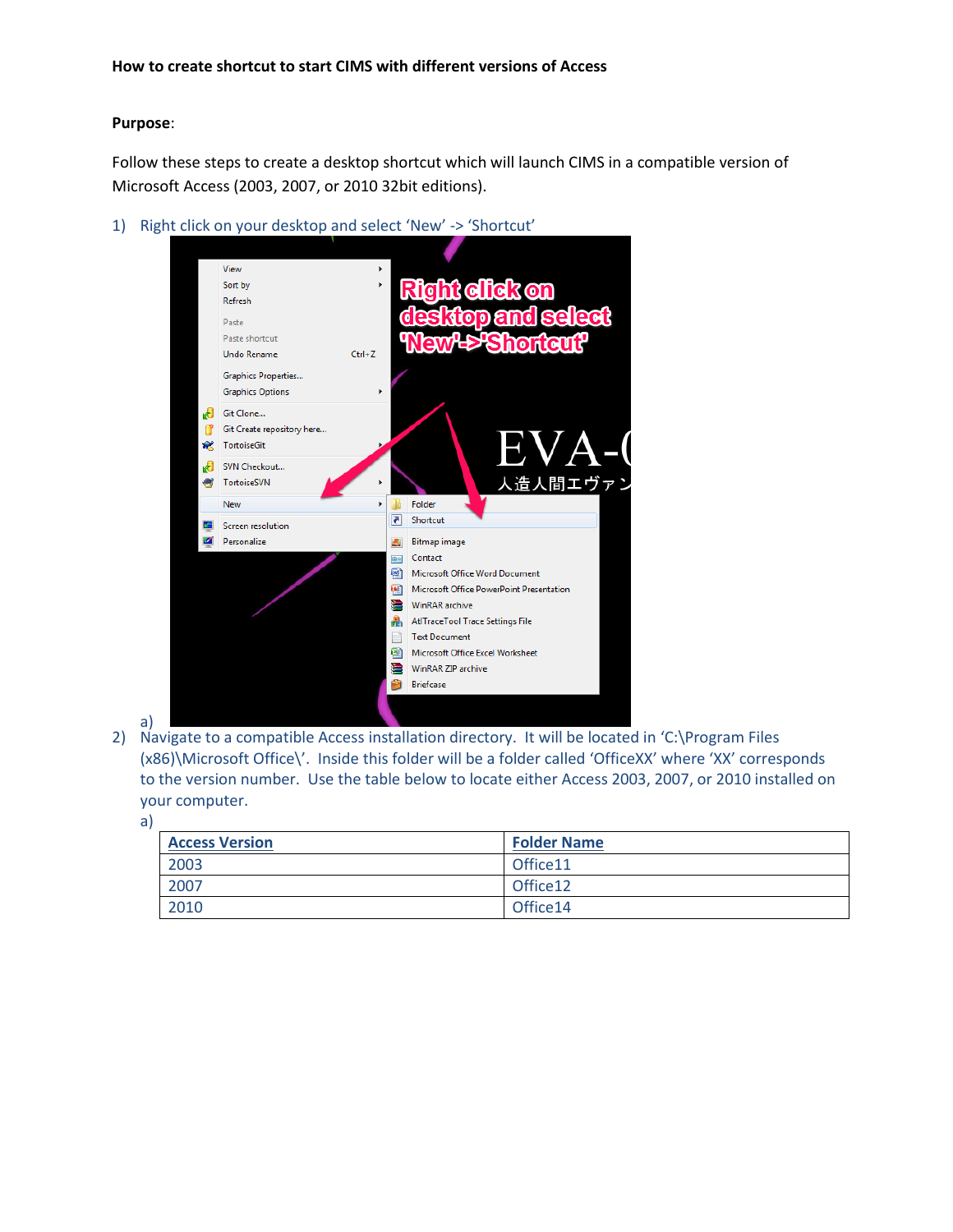## **Purpose**:

Follow these steps to create a desktop shortcut which will launch CIMS in a compatible version of Microsoft Access (2003, 2007, or 2010 32bit editions).

1) Right click on your desktop and select 'New' -> 'Shortcut'



a)

2) Navigate to a compatible Access installation directory. It will be located in 'C:\Program Files (x86)\Microsoft Office\'. Inside this folder will be a folder called 'OfficeXX' where 'XX' corresponds to the version number. Use the table below to locate either Access 2003, 2007, or 2010 installed on your computer.

a)

| <b>Access Version</b> | <b>Folder Name</b> |
|-----------------------|--------------------|
| 2003                  | Office11           |
| 2007                  | Office12           |
| 2010                  | Office14           |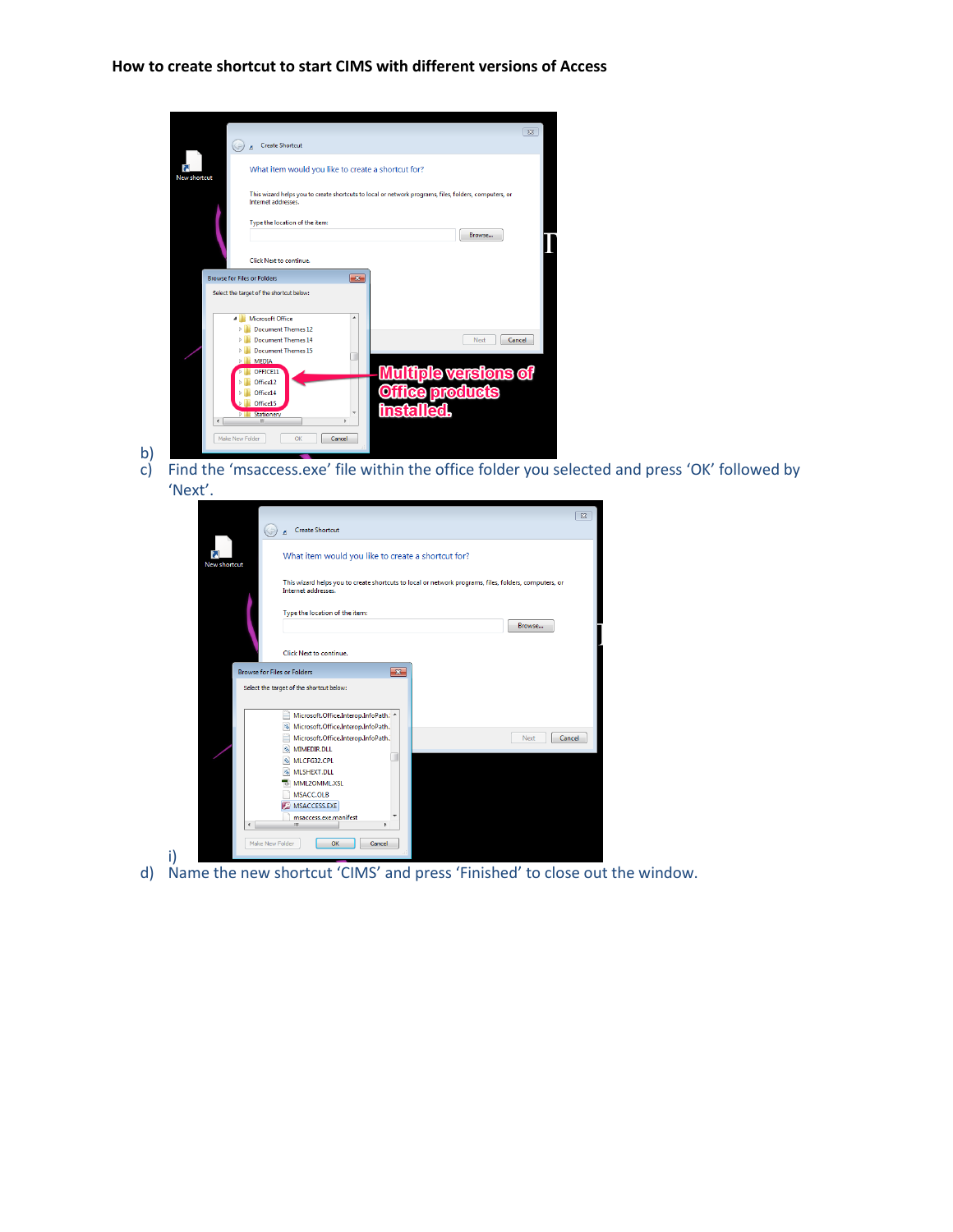## **How to create shortcut to start CIMS with different versions of Access**

|                     |                                                                                                                              | $\Sigma$ |  |  |  |  |
|---------------------|------------------------------------------------------------------------------------------------------------------------------|----------|--|--|--|--|
|                     | <b>Create Shortcut</b>                                                                                                       |          |  |  |  |  |
| <b>New shortcut</b> | What item would you like to create a shortcut for?                                                                           |          |  |  |  |  |
|                     | This wizard helps you to create shortcuts to local or network programs, files, folders, computers, or<br>Internet addresses. |          |  |  |  |  |
|                     | Type the location of the item:<br>Browse                                                                                     |          |  |  |  |  |
|                     | Click Next to continue.                                                                                                      |          |  |  |  |  |
|                     | $\overline{\mathbf{x}}$<br><b>Browse for Files or Folders</b>                                                                |          |  |  |  |  |
|                     | Select the target of the shortcut below:                                                                                     |          |  |  |  |  |
| 4                   | <b>Microsoft Office</b><br>A                                                                                                 |          |  |  |  |  |
|                     | <b>Document Themes 12</b><br><b>Document Themes 14</b><br>Cancel<br>Next                                                     |          |  |  |  |  |
|                     | <b>Document Themes 15</b>                                                                                                    |          |  |  |  |  |
|                     | <b>MEDIA</b><br>$\triangleright$                                                                                             |          |  |  |  |  |
|                     | <b>Multiple versions of</b><br>OFFICE11                                                                                      |          |  |  |  |  |
|                     | Office12<br><b>ce products</b><br>Office14                                                                                   |          |  |  |  |  |
|                     | Office15                                                                                                                     |          |  |  |  |  |
|                     | <b>Inst</b><br>٠<br><b>Stationery</b><br>Ш<br>٠                                                                              |          |  |  |  |  |
| Make New Folder     | OK<br>Cancel                                                                                                                 |          |  |  |  |  |

b) c) Find the 'msaccess.exe' file within the office folder you selected and press 'OK' followed by 'Next'.

|                          | $\Sigma$                                                                                                                     |
|--------------------------|------------------------------------------------------------------------------------------------------------------------------|
|                          | <b>Create Shortcut</b>                                                                                                       |
| New shortcut             | What item would you like to create a shortcut for?                                                                           |
|                          | This wizard helps you to create shortcuts to local or network programs, files, folders, computers, or<br>Internet addresses. |
|                          | Type the location of the item:<br>Browse                                                                                     |
|                          | Click Next to continue.                                                                                                      |
|                          | <b>Browse for Files or Folders</b><br>$\mathbf{x}$                                                                           |
|                          | Select the target of the shortcut below:                                                                                     |
|                          | Microsoft.Office.Interop.InfoPath. ^                                                                                         |
|                          | Microsoft.Office.Interop.InfoPath.<br>Microsoft.Office.Interop.InfoPath.<br><b>Next</b><br>Cancel<br>MIMEDIR.DLL<br>G.       |
|                          | MLCFG32.CPL                                                                                                                  |
|                          | MLSHEXT.DLL<br>MML2OMML.XSL                                                                                                  |
|                          | MSACC.OLB                                                                                                                    |
|                          | MSACCESS.EXE                                                                                                                 |
| $\overline{\phantom{a}}$ | msaccess.exe.manifest<br>m.<br>٠                                                                                             |
|                          | Make New Folder<br>OK<br>Cancel                                                                                              |

i) d) Name the new shortcut 'CIMS' and press 'Finished' to close out the window.